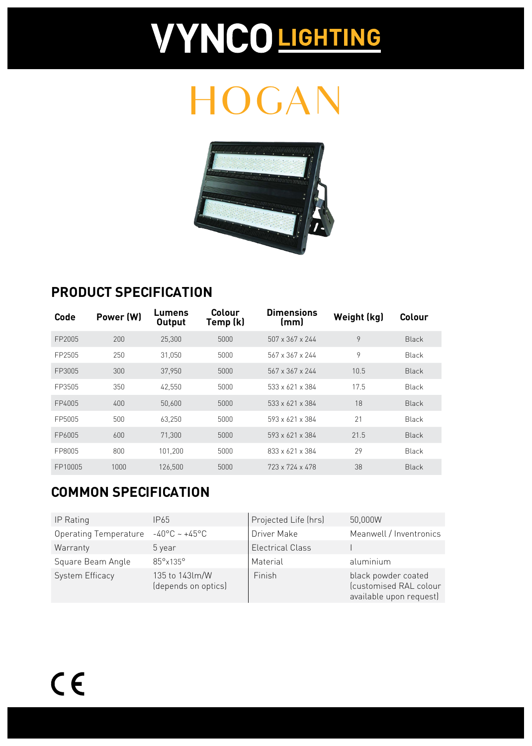# **VYNCO LIGHTING**

## HOGAN



#### **PRODUCT SPECIFICATION**

| Code    | Power (W) | Lumens<br><b>Output</b> | Colour<br>Temp (k) | <b>Dimensions</b><br>(mm)   | Weight (kg) | Colour       |
|---------|-----------|-------------------------|--------------------|-----------------------------|-------------|--------------|
| FP2005  | 200       | 25,300                  | 5000               | $507 \times 367 \times 244$ | 9           | <b>Black</b> |
| FP2505  | 250       | 31.050                  | 5000               | 567 x 367 x 244             | 9           | <b>Black</b> |
| FP3005  | 300       | 37,950                  | 5000               | $567 \times 367 \times 244$ | 10.5        | <b>Black</b> |
| FP3505  | 350       | 42.550                  | 5000               | 533 x 621 x 384             | 17.5        | Black        |
| FP4005  | 400       | 50,600                  | 5000               | $533 \times 621 \times 384$ | 18          | <b>Black</b> |
| FP5005  | 500       | 63,250                  | 5000               | 593 x 621 x 384             | 21          | Black        |
| FP6005  | 600       | 71.300                  | 5000               | 593 x 621 x 384             | 21.5        | <b>Black</b> |
| FP8005  | 800       | 101,200                 | 5000               | 833 x 621 x 384             | 29          | Black        |
| FP10005 | 1000      | 126.500                 | 5000               | 723 x 724 x 478             | 38          | <b>Black</b> |

### **COMMON SPECIFICATION**

| IP Rating                    | IP65                                  | Projected Life (hrs)    | 50,000W                                                                  |
|------------------------------|---------------------------------------|-------------------------|--------------------------------------------------------------------------|
| <b>Operating Temperature</b> | $-40^{\circ}$ C ~ $+45^{\circ}$ C     | Driver Make             | Meanwell / Inventronics                                                  |
| Warranty                     | 5 year                                | <b>Electrical Class</b> |                                                                          |
| Square Beam Angle            | 85°x135°                              | Material                | aluminium                                                                |
| <b>System Efficacy</b>       | 135 to 143lm/W<br>(depends on optics) | Finish                  | black powder coated<br>(customised RAL colour<br>available upon request) |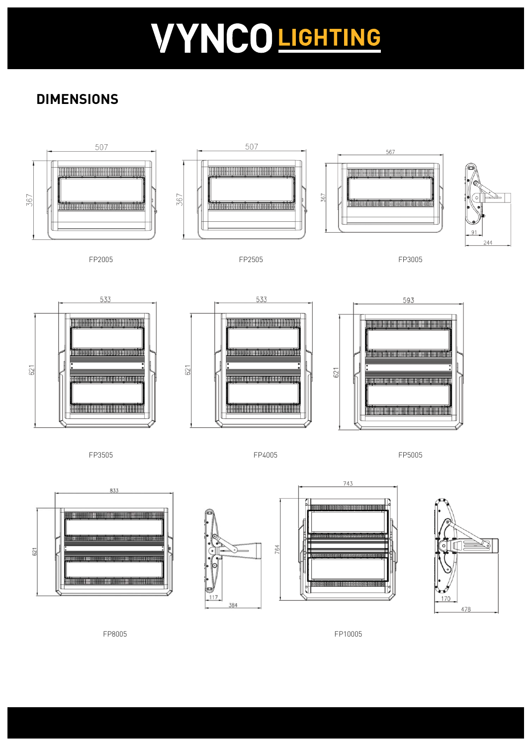# VYNCO LIGHTING

### **DIMENSIONS**







164





FP8005 FP10005